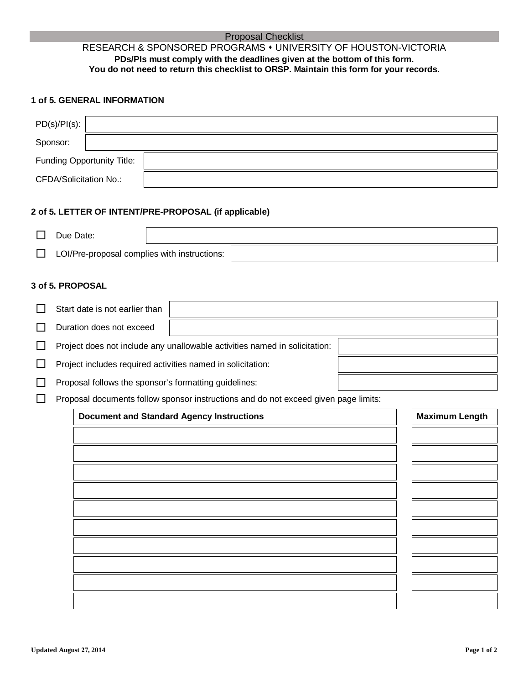### Proposal Checklist RESEARCH & SPONSORED PROGRAMS UNIVERSITY OF HOUSTON-VICTORIA **PDs/PIs must comply with the deadlines given at the bottom of this form. You do not need to return this checklist to ORSP. Maintain this form for your records.**

# **1 of 5. GENERAL INFORMATION**

| $PD(s)/PI(s)$ :               |  |
|-------------------------------|--|
| Sponsor:                      |  |
| Funding Opportunity Title:    |  |
| <b>CFDA/Solicitation No.:</b> |  |

#### **2 of 5. LETTER OF INTENT/PRE-PROPOSAL (if applicable)**

| Due Date:                                    |  |
|----------------------------------------------|--|
| LOI/Pre-proposal complies with instructions: |  |

#### **3 of 5. PROPOSAL**

| Start date is not earlier than                                             |  |  |
|----------------------------------------------------------------------------|--|--|
| Duration does not exceed                                                   |  |  |
| Project does not include any unallowable activities named in solicitation: |  |  |
| Project includes required activities named in solicitation:                |  |  |
| The contract full come also a constructed forms and construct to be        |  |  |

 $\Box$  Proposal follows the sponsor's formatting guidelines:

 $\Box$  Proposal documents follow sponsor instructions and do not exceed given page limits:

| <b>Document and Standard Agency Instructions</b> | <b>Maximum Length</b> |
|--------------------------------------------------|-----------------------|
|                                                  |                       |
|                                                  |                       |
|                                                  |                       |
|                                                  |                       |
|                                                  |                       |
|                                                  |                       |
|                                                  |                       |
|                                                  |                       |
|                                                  |                       |
|                                                  |                       |